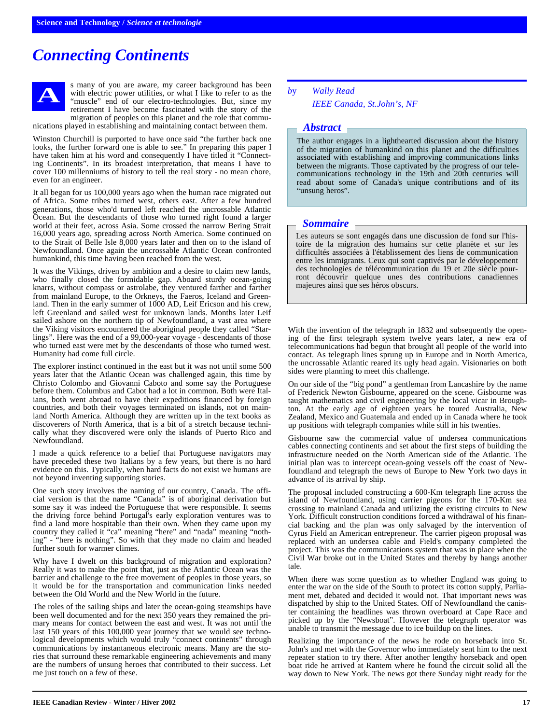## *Connecting Continents*



s many of you are aware, my career background has been with electric power utilities, or what I like to refer to as the "muscle" end of our electro-technologies. But, since my retirement I have become fascinated with the story of the migration of peoples on this planet and the role that communications played in establishing and maintaining contact between them.

Winston Churchill is purported to have once said "the further back one looks, the further forward one is able to see." In preparing this paper I have taken him at his word and consequently I have titled it "Connecting Continents". In its broadest interpretation, that means I have to cover 100 millenniums of history to tell the real story - no mean chore, even for an engineer.

It all began for us 100,000 years ago when the human race migrated out of Africa. Some tribes turned west, others east. After a few hundred generations, those who'd turned left reached the uncrossable Atlantic Ocean. But the descendants of those who turned right found a larger world at their feet, across Asia. Some crossed the narrow Bering Strait 16,000 years ago, spreading across North America. Some continued on to the Strait of Belle Isle 8,000 years later and then on to the island of Newfoundland. Once again the uncrossable Atlantic Ocean confronted humankind, this time having been reached from the west.

It was the Vikings, driven by ambition and a desire to claim new lands, who finally closed the formidable gap. Aboard sturdy ocean-going knarrs, without compass or astrolabe, they ventured farther and farther from mainland Europe, to the Orkneys, the Faeros, Iceland and Greenland. Then in the early summer of 1000 AD, Leif Ericson and his crew, left Greenland and sailed west for unknown lands. Months later Leif sailed ashore on the northern tip of Newfoundland, a vast area where the Viking visitors encountered the aboriginal people they called "Starlings". Here was the end of a 99,000-year voyage - descendants of those who turned east were met by the descendants of those who turned west. Humanity had come full circle.

The explorer instinct continued in the east but it was not until some 500 years later that the Atlantic Ocean was challenged again, this time by Christo Colombo and Giovanni Caboto and some say the Portuguese before them. Columbus and Cabot had a lot in common. Both were Italians, both went abroad to have their expeditions financed by foreign countries, and both their voyages terminated on islands, not on mainland North America. Although they are written up in the text books as discoverers of North America, that is a bit of a stretch because technically what they discovered were only the islands of Puerto Rico and Newfoundland.

I made a quick reference to a belief that Portuguese navigators may have preceded these two Italians by a few years, but there is no hard evidence on this. Typically, when hard facts do not exist we humans are not beyond inventing supporting stories.

One such story involves the naming of our country, Canada. The official version is that the name "Canada" is of aboriginal derivation but some say it was indeed the Portuguese that were responsible. It seems the driving force behind Portugal's early exploration ventures was to find a land more hospitable than their own. When they came upon my country they called it "ca" meaning "here" and "nada" meaning "nothing" - "here is nothing". So with that they made no claim and headed further south for warmer climes.

Why have I dwelt on this background of migration and exploration? Really it was to make the point that, just as the Atlantic Ocean was the barrier and challenge to the free movement of peoples in those years, so it would be for the transportation and communication links needed between the Old World and the New World in the future.

The roles of the sailing ships and later the ocean-going steamships have been well documented and for the next 350 years they remained the primary means for contact between the east and west. It was not until the last 150 years of this 100,000 year journey that we would see technological developments which would truly "connect continents" through communications by instantaneous electronic means. Many are the stories that surround these remarkable engineering achievements and many are the numbers of unsung heroes that contributed to their success. Let me just touch on a few of these.

*b*y *Wally Read IEEE Canada, St.John's, NF*

## *Abstract*

The author engages in a lighthearted discussion about the history of the migration of humankind on this planet and the difficulties associated with establishing and improving communications links between the migrants. Those captivated by the progress of our telecommunications technology in the 19th and 20th centuries will read about some of Canada's unique contributions and of its "unsung heros".

## *Sommaire*

Les auteurs se sont engagés dans une discussion de fond sur l'histoire de la migration des humains sur cette planète et sur les difficultés associées à l'établissement des liens de communication entre les immigrants. Ceux qui sont captivés par le développement des technologies de télécommunication du 19 et 20e siècle pourront découvrir quelque unes des contributions canadiennes majeures ainsi que ses héros obscurs.

With the invention of the telegraph in 1832 and subsequently the opening of the first telegraph system twelve years later, a new era of telecommunications had begun that brought all people of the world into contact. As telegraph lines sprung up in Europe and in North America, the uncrossable Atlantic reared its ugly head again. Visionaries on both sides were planning to meet this challenge.

On our side of the "big pond" a gentleman from Lancashire by the name of Frederick Newton Gisbourne, appeared on the scene. Gisbourne was taught mathematics and civil engineering by the local vicar in Broughton. At the early age of eighteen years he toured Australia, New Zealand, Mexico and Guatemala and ended up in Canada where he took up positions with telegraph companies while still in his twenties.

Gisbourne saw the commercial value of undersea communications cables connecting continents and set about the first steps of building the infrastructure needed on the North American side of the Atlantic. The initial plan was to intercept ocean-going vessels off the coast of Newfoundland and telegraph the news of Europe to New York two days in advance of its arrival by ship.

The proposal included constructing a 600-Km telegraph line across the island of Newfoundland, using carrier pigeons for the 170-Km sea crossing to mainland Canada and utilizing the existing circuits to New York. Difficult construction conditions forced a withdrawal of his financial backing and the plan was only salvaged by the intervention of Cyrus Field an American entrepreneur. The carrier pigeon proposal was replaced with an undersea cable and Field's company completed the project. This was the communications system that was in place when the Civil War broke out in the United States and thereby by hangs another tale.

When there was some question as to whether England was going to enter the war on the side of the South to protect its cotton supply, Parliament met, debated and decided it would not. That important news was dispatched by ship to the United States. Off of Newfoundland the canister containing the headlines was thrown overboard at Cape Race and picked up by the "Newsboat". However the telegraph operator was unable to transmit the message due to ice buildup on the lines.

Realizing the importance of the news he rode on horseback into St. John's and met with the Governor who immediately sent him to the next repeater station to try there. After another lengthy horseback and open boat ride he arrived at Rantem where he found the circuit solid all the way down to New York. The news got there Sunday night ready for the